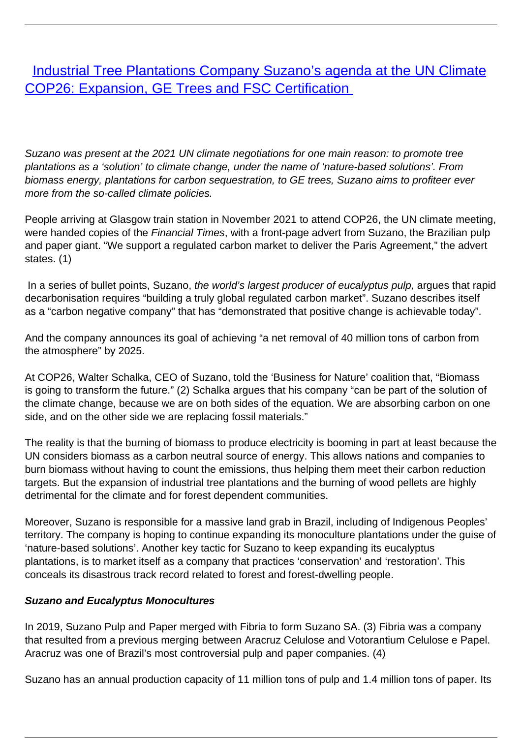[Industrial Tree Plantations Company Suzano's agenda at the UN Climate](/bulletin-articles/industrial-tree-plantations-company-suzanos-agenda-at-the-un-climate-cop26-expansion-ge-trees-and-fsc) [COP26: Expansion, GE Trees and FSC Certification](/bulletin-articles/industrial-tree-plantations-company-suzanos-agenda-at-the-un-climate-cop26-expansion-ge-trees-and-fsc)

Suzano was present at the 2021 UN climate negotiations for one main reason: to promote tree plantations as a 'solution' to climate change, under the name of 'nature-based solutions'. From biomass energy, plantations for carbon sequestration, to GE trees, Suzano aims to profiteer ever more from the so-called climate policies.

People arriving at Glasgow train station in November 2021 to attend COP26, the UN climate meeting, were handed copies of the Financial Times, with a front-page advert from Suzano, the Brazilian pulp and paper giant. "We support a regulated carbon market to deliver the Paris Agreement," the advert states. (1)

In a series of bullet points, Suzano, the world's largest producer of eucalyptus pulp, argues that rapid decarbonisation requires "building a truly global regulated carbon market". Suzano describes itself as a "carbon negative company" that has "demonstrated that positive change is achievable today".

And the company announces its goal of achieving "a net removal of 40 million tons of carbon from the atmosphere" by 2025.

At COP26, Walter Schalka, CEO of Suzano, told the 'Business for Nature' coalition that, "Biomass is going to transform the future." (2) Schalka argues that his company "can be part of the solution of the climate change, because we are on both sides of the equation. We are absorbing carbon on one side, and on the other side we are replacing fossil materials."

The reality is that the burning of biomass to produce electricity is booming in part at least because the UN considers biomass as a carbon neutral source of energy. This allows nations and companies to burn biomass without having to count the emissions, thus helping them meet their carbon reduction targets. But the expansion of industrial tree plantations and the burning of wood pellets are highly detrimental for the climate and for forest dependent communities.

Moreover, Suzano is responsible for a massive land grab in Brazil, including of Indigenous Peoples' territory. The company is hoping to continue expanding its monoculture plantations under the guise of 'nature-based solutions'. Another key tactic for Suzano to keep expanding its eucalyptus plantations, is to market itself as a company that practices 'conservation' and 'restoration'. This conceals its disastrous track record related to forest and forest-dwelling people.

## **Suzano and Eucalyptus Monocultures**

In 2019, Suzano Pulp and Paper merged with Fibria to form Suzano SA. (3) Fibria was a company that resulted from a previous merging between Aracruz Celulose and Votorantium Celulose e Papel. Aracruz was one of Brazil's most controversial pulp and paper companies. (4)

Suzano has an annual production capacity of 11 million tons of pulp and 1.4 million tons of paper. Its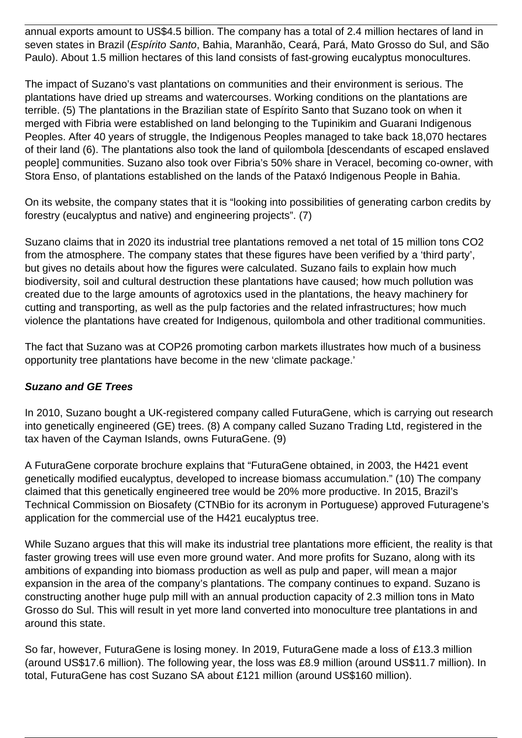annual exports amount to US\$4.5 billion. The company has a total of 2.4 million hectares of land in seven states in Brazil (Espírito Santo, Bahia, Maranhão, Ceará, Pará, Mato Grosso do Sul, and São Paulo). About 1.5 million hectares of this land consists of fast-growing eucalyptus monocultures.

The impact of Suzano's vast plantations on communities and their environment is serious. The plantations have dried up streams and watercourses. Working conditions on the plantations are terrible. (5) The plantations in the Brazilian state of Espírito Santo that Suzano took on when it merged with Fibria were established on land belonging to the Tupinikim and Guarani Indigenous Peoples. After 40 years of struggle, the Indigenous Peoples managed to take back 18,070 hectares of their land (6). The plantations also took the land of quilombola [descendants of escaped enslaved people] communities. Suzano also took over Fibria's 50% share in Veracel, becoming co-owner, with Stora Enso, of plantations established on the lands of the Pataxó Indigenous People in Bahia.

On its website, the company states that it is "looking into possibilities of generating carbon credits by forestry (eucalyptus and native) and engineering projects". (7)

Suzano claims that in 2020 its industrial tree plantations removed a net total of 15 million tons CO2 from the atmosphere. The company states that these figures have been verified by a 'third party', but gives no details about how the figures were calculated. Suzano fails to explain how much biodiversity, soil and cultural destruction these plantations have caused; how much pollution was created due to the large amounts of agrotoxics used in the plantations, the heavy machinery for cutting and transporting, as well as the pulp factories and the related infrastructures; how much violence the plantations have created for Indigenous, quilombola and other traditional communities.

The fact that Suzano was at COP26 promoting carbon markets illustrates how much of a business opportunity tree plantations have become in the new 'climate package.'

## **Suzano and GE Trees**

In 2010, Suzano bought a UK-registered company called FuturaGene, which is carrying out research into genetically engineered (GE) trees. (8) A company called Suzano Trading Ltd, registered in the tax haven of the Cayman Islands, owns FuturaGene. (9)

A FuturaGene corporate brochure explains that "FuturaGene obtained, in 2003, the H421 event genetically modified eucalyptus, developed to increase biomass accumulation." (10) The company claimed that this genetically engineered tree would be 20% more productive. In 2015, Brazil's Technical Commission on Biosafety (CTNBio for its acronym in Portuguese) approved Futuragene's application for the commercial use of the H421 eucalyptus tree.

While Suzano argues that this will make its industrial tree plantations more efficient, the reality is that faster growing trees will use even more ground water. And more profits for Suzano, along with its ambitions of expanding into biomass production as well as pulp and paper, will mean a major expansion in the area of the company's plantations. The company continues to expand. Suzano is constructing another huge pulp mill with an annual production capacity of 2.3 million tons in Mato Grosso do Sul. This will result in yet more land converted into monoculture tree plantations in and around this state.

So far, however, FuturaGene is losing money. In 2019, FuturaGene made a loss of £13.3 million (around US\$17.6 million). The following year, the loss was £8.9 million (around US\$11.7 million). In total, FuturaGene has cost Suzano SA about £121 million (around US\$160 million).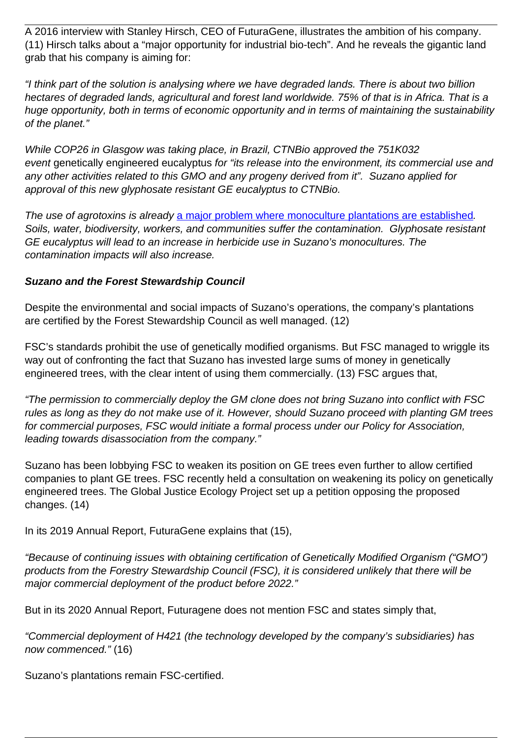A 2016 interview with Stanley Hirsch, CEO of FuturaGene, illustrates the ambition of his company. (11) Hirsch talks about a "major opportunity for industrial bio-tech". And he reveals the gigantic land grab that his company is aiming for:

"I think part of the solution is analysing where we have degraded lands. There is about two billion hectares of degraded lands, agricultural and forest land worldwide. 75% of that is in Africa. That is a huge opportunity, both in terms of economic opportunity and in terms of maintaining the sustainability of the planet."

While COP26 in Glasgow was taking place, in Brazil, CTNBio approved the 751K032 event genetically engineered eucalyptus for "its release into the environment, its commercial use and any other activities related to this GMO and any progeny derived from it". Suzano applied for approval of this new glyphosate resistant GE eucalyptus to CTNBio.

The use of agrotoxins is already [a major problem where monoculture plantations are established](https://wrm.us9.list-manage.com/track/click?u=f91b651f7fecdf835b57dc11d&id=a18ef7efd3&e=08ad7e6520). Soils, water, biodiversity, workers, and communities suffer the contamination. Glyphosate resistant GE eucalyptus will lead to an increase in herbicide use in Suzano's monocultures. The contamination impacts will also increase.

## **Suzano and the Forest Stewardship Council**

Despite the environmental and social impacts of Suzano's operations, the company's plantations are certified by the Forest Stewardship Council as well managed. (12)

FSC's standards prohibit the use of genetically modified organisms. But FSC managed to wriggle its way out of confronting the fact that Suzano has invested large sums of money in genetically engineered trees, with the clear intent of using them commercially. (13) FSC argues that,

"The permission to commercially deploy the GM clone does not bring Suzano into conflict with FSC rules as long as they do not make use of it. However, should Suzano proceed with planting GM trees for commercial purposes, FSC would initiate a formal process under our Policy for Association, leading towards disassociation from the company."

Suzano has been lobbying FSC to weaken its position on GE trees even further to allow certified companies to plant GE trees. FSC recently held a consultation on weakening its policy on genetically engineered trees. The Global Justice Ecology Project set up a petition opposing the proposed changes. (14)

In its 2019 Annual Report, FuturaGene explains that (15),

"Because of continuing issues with obtaining certification of Genetically Modified Organism ("GMO") products from the Forestry Stewardship Council (FSC), it is considered unlikely that there will be major commercial deployment of the product before 2022."

But in its 2020 Annual Report, Futuragene does not mention FSC and states simply that,

"Commercial deployment of H421 (the technology developed by the company's subsidiaries) has now commenced." (16)

Suzano's plantations remain FSC-certified.